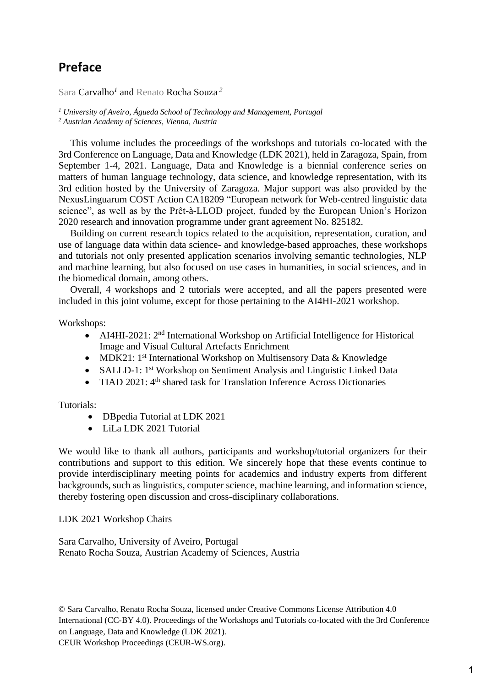# **Preface**

Sara Carvalho*<sup>1</sup>* and Renato Rocha Souza *<sup>2</sup>*

*<sup>1</sup> University of Aveiro, Águeda School of Technology and Management, Portugal <sup>2</sup> Austrian Academy of Sciences, Vienna, Austria*

This volume includes the proceedings of the workshops and tutorials co-located with the 3rd Conference on Language, Data and Knowledge (LDK 2021), held in Zaragoza, Spain, from September 1-4, 2021. Language, Data and Knowledge is a biennial conference series on matters of human language technology, data science, and knowledge representation, with its 3rd edition hosted by the University of Zaragoza. Major support was also provided by the NexusLinguarum COST Action CA18209 "European network for Web-centred linguistic data science", as well as by the Prêt-à-LLOD project, funded by the European Union's Horizon 2020 research and innovation programme under grant agreement No. 825182.

Building on current research topics related to the acquisition, representation, curation, and use of language data within data science- and knowledge-based approaches, these workshops and tutorials not only presented application scenarios involving semantic technologies, NLP and machine learning, but also focused on use cases in humanities, in social sciences, and in the biomedical domain, among others.

Overall, 4 workshops and 2 tutorials were accepted, and all the papers presented were included in this joint volume, except for those pertaining to the AI4HI-2021 workshop.

Workshops:

- AI4HI-2021: 2<sup>nd</sup> International Workshop on Artificial Intelligence for Historical Image and Visual Cultural Artefacts Enrichment
- MDK21: 1<sup>st</sup> International Workshop on Multisensory Data & Knowledge
- SALLD-1: 1<sup>st</sup> Workshop on Sentiment Analysis and Linguistic Linked Data
- TIAD 2021: 4<sup>th</sup> shared task for Translation Inference Across Dictionaries

Tutorials:

- DBpedia Tutorial at LDK 2021
- LiLa LDK 2021 Tutorial

We would like to thank all authors, participants and workshop/tutorial organizers for their contributions and support to this edition. We sincerely hope that these events continue to provide interdisciplinary meeting points for academics and industry experts from different backgrounds, such as linguistics, computer science, machine learning, and information science, thereby fostering open discussion and cross-disciplinary collaborations.

LDK 2021 Workshop Chairs

Sara Carvalho, University of Aveiro, Portugal Renato Rocha Souza, Austrian Academy of Sciences, Austria

© Sara Carvalho, Renato Rocha Souza, licensed under Creative Commons License Attribution 4.0 International (CC-BY 4.0). Proceedings of the Workshops and Tutorials co-located with the 3rd Conference on Language, Data and Knowledge (LDK 2021). CEUR Workshop Proceedings (CEUR-WS.org).

**1**